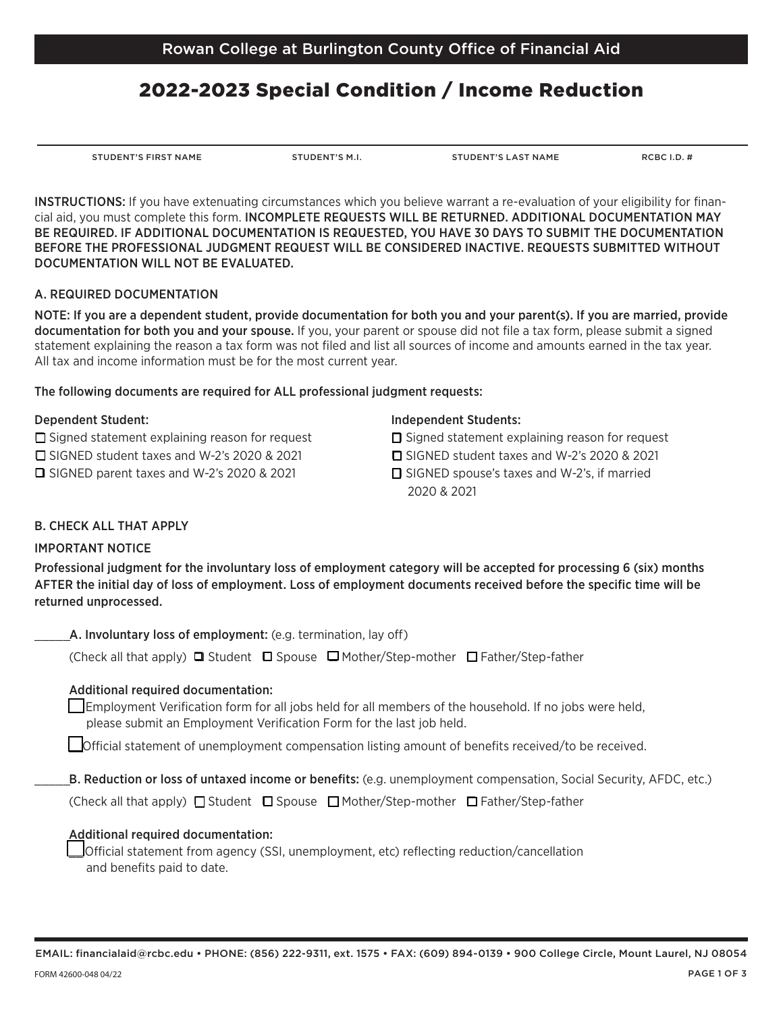# 2022-2023 Special Condition / Income Reduction

STUDENT'S FIRST NAME STUDENT'S M.I. STUDENT'S LAST NAME RCBC I.D. #

B. Reduction or loss of untaxed income or benefits: (e.g. unemployment compensation, Social Security, AFDC, etc.)

\_\_ Employment Verifcation form for all jobs held for all members of the household. If no jobs were held,

\_\_Ofcial statement of unemployment compensation listing amount of benefts received/to be received.

Professional judgment for the involuntary loss of employment category will be accepted for processing 6 (six) months AFTER the initial day of loss of employment. Loss of employment documents received before the specifc time will be

(Check all that apply)  $\Box$  Student  $\Box$  Spouse  $\Box$  Mother/Step-mother  $\Box$  Father/Step-father

(Check all that apply)  $\Box$  Student  $\Box$  Spouse  $\Box$  Mother/Step-mother  $\Box$  Father/Step-father

#### Additional required documentation:

Additional required documentation:

\_\_Ofcial statement from agency (SSI, unemployment, etc) refecting reduction/cancellation and benefits paid to date.

INSTRUCTIONS: If you have extenuating circumstances which you believe warrant a re-evaluation of your eligibility for fnancial aid, you must complete this form. INCOMPLETE REQUESTS WILL BE RETURNED. ADDITIONAL DOCUMENTATION MAY BE REQUIRED. IF ADDITIONAL DOCUMENTATION IS REQUESTED, YOU HAVE 30 DAYS TO SUBMIT THE DOCUMENTATION BEFORE THE PROFESSIONAL JUDGMENT REQUEST WILL BE CONSIDERED INACTIVE. REQUESTS SUBMITTED WITHOUT DOCUMENTATION WILL NOT BE EVALUATED.

#### A. REQUIRED DOCUMENTATION

NOTE: If you are a dependent student, provide documentation for both you and your parent(s). If you are married, provide documentation for both you and your spouse. If you, your parent or spouse did not fle a tax form, please submit a signed statement explaining the reason a tax form was not fled and list all sources of income and amounts earned in the tax year. All tax and income information must be for the most current year.

### The following documents are required for ALL professional judgment requests:

A. Involuntary loss of employment: (e.g. termination, lay off)

please submit an Employment Verifcation Form for the last job held.

B. CHECK ALL THAT APPLY

IMPORTANT NOTICE

returned unprocessed.

 $\Box$  Signed statement explaining reason for request  $\Box$  Signed statement explaining reason for request q SIGNED student taxes and W-2's 2020 & 2021 q SIGNED student taxes and W-2's 2020 & 2021  $\Box$  SIGNED parent taxes and W-2's 2020 & 2021  $\Box$  SIGNED spouse's taxes and W-2's, if married

### Dependent Student: Independent Students:

- 
- 
- 2020 & 2021
-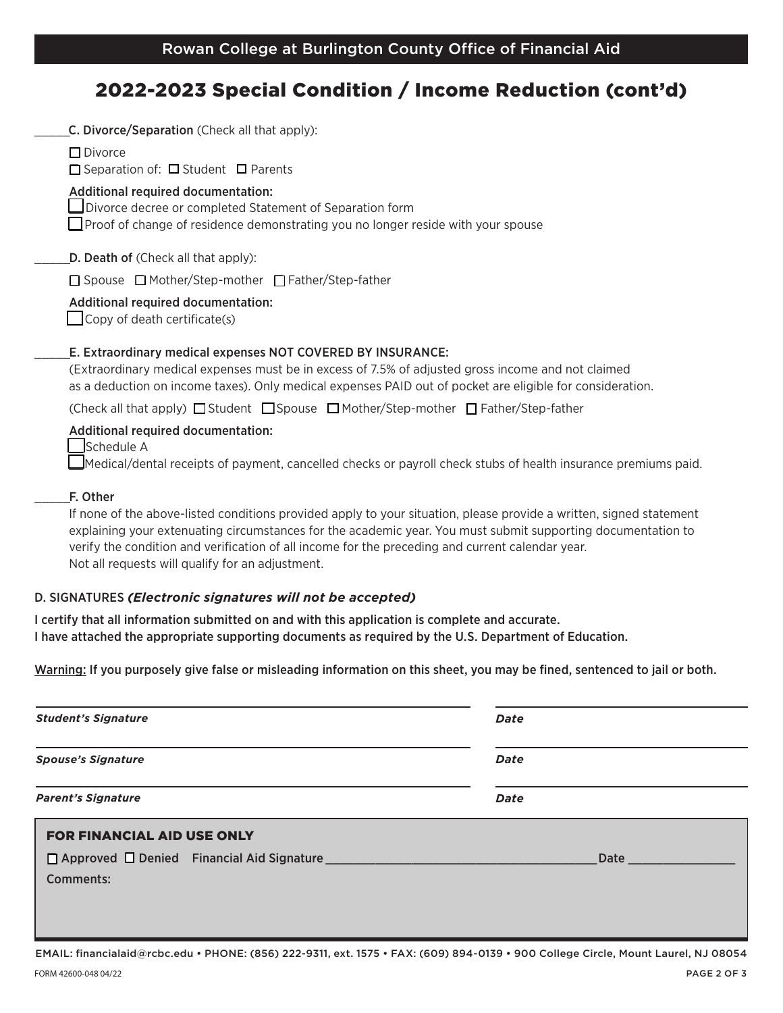## 2022-2023 Special Condition / Income Reduction (cont'd)

| C. Divorce/Separation (Check all that apply):                                                                                                                                                                                                                                  |
|--------------------------------------------------------------------------------------------------------------------------------------------------------------------------------------------------------------------------------------------------------------------------------|
| $\Box$ Divorce<br>$\Box$ Separation of: $\Box$ Student $\Box$ Parents                                                                                                                                                                                                          |
| Additional required documentation:<br>Divorce decree or completed Statement of Separation form<br>$\Box$ Proof of change of residence demonstrating you no longer reside with your spouse                                                                                      |
| D. Death of (Check all that apply):                                                                                                                                                                                                                                            |
| □ Spouse □ Mother/Step-mother □ Father/Step-father                                                                                                                                                                                                                             |
| Additional required documentation:<br>$\Box$ Copy of death certificate(s)                                                                                                                                                                                                      |
| E. Extraordinary medical expenses NOT COVERED BY INSURANCE:<br>(Extraordinary medical expenses must be in excess of 7.5% of adjusted gross income and not claimed<br>as a deduction on income taxes). Only medical expenses PAID out of pocket are eligible for consideration. |
| (Check all that apply) $\Box$ Student $\Box$ Spouse $\Box$ Mother/Step-mother $\Box$ Father/Step-father                                                                                                                                                                        |
| Additional required documentation:<br>Schedule A<br>Medical/dental receipts of payment, cancelled checks or payroll check stubs of health insurance premiums paid.                                                                                                             |
| F. Other                                                                                                                                                                                                                                                                       |
| If none of the above-listed conditions provided apply to your situation, please provide a written, signed statement<br>explaining your extenuating circumstances for the academic year. You must submit supporting documentation to                                            |

verify the condition and verifcation of all income for the preceding and current calendar year. Not all requests will qualify for an adjustment.

## D. SIGNATURES *(Electronic signatures will not be accepted)*

I certify that all information submitted on and with this application is complete and accurate. I have attached the appropriate supporting documents as required by the U.S. Department of Education.

Warning: If you purposely give false or misleading information on this sheet, you may be fined, sentenced to jail or both.

| <b>Student's Signature</b>        | Date                                                                                                                                                                                                                           |
|-----------------------------------|--------------------------------------------------------------------------------------------------------------------------------------------------------------------------------------------------------------------------------|
| <b>Spouse's Signature</b>         | Date<br>Date                                                                                                                                                                                                                   |
| <b>Parent's Signature</b>         |                                                                                                                                                                                                                                |
| <b>FOR FINANCIAL AID USE ONLY</b> |                                                                                                                                                                                                                                |
|                                   | Date the contract of the contract of the contract of the contract of the contract of the contract of the contract of the contract of the contract of the contract of the contract of the contract of the contract of the contr |
| <b>Comments:</b>                  |                                                                                                                                                                                                                                |